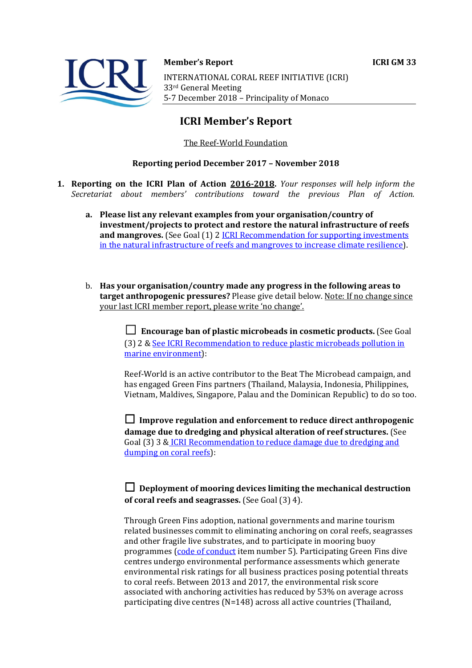

**Member's Report ICRI GM 33** INTERNATIONAL CORAL REEF INITIATIVE (ICRI) 33<sup>rd</sup> General Meeting

5-7 December 2018 - Principality of Monaco

# **ICRI Member's Report**

## The Reef-World Foundation

### **Reporting period December 2017 – November 2018**

- **1. Reporting on the ICRI Plan of Action 2016‐2018.** *Your responses will help inform the Secretariat about members' contributions toward the previous Plan of Action.*
	- **a. Please list any relevant examples from your organisation/country of investment/projects to protect and restore the natural infrastructure of reefs and mangroves.** (See Goal (1) 2 *ICRI Recommendation for supporting investments* in the natural infrastructure of reefs and mangroves to increase climate resilience).
	- b. **Has your organisation/country made any progress in the following areas to target anthropogenic pressures?** Please give detail below. Note: If no change since your last ICRI member report, please write 'no change'.

☐ **Encourage ban of plastic microbeads in cosmetic products.** (See Goal (3) 2 & See ICRI Recommendation to reduce plastic microbeads pollution in marine environment):

Reef-World is an active contributor to the Beat The Microbead campaign, and has engaged Green Fins partners (Thailand, Malaysia, Indonesia, Philippines, Vietnam, Maldives, Singapore, Palau and the Dominican Republic) to do so too.

☐ **Improve regulation and enforcement to reduce direct anthropogenic damage due to dredging and physical alteration of reef structures.** (See Goal (3) 3 & ICRI Recommendation to reduce damage due to dredging and dumping on coral reefs):

# ☐ **Deployment of mooring devices limiting the mechanical destruction of coral reefs and seagrasses.** (See Goal (3) 4).

Through Green Fins adoption, national governments and marine tourism related businesses commit to eliminating anchoring on coral reefs, seagrasses and other fragile live substrates, and to participate in mooring buoy programmes (code of conduct item number 5). Participating Green Fins dive centres undergo environmental performance assessments which generate environmental risk ratings for all business practices posing potential threats to coral reefs. Between 2013 and 2017, the environmental risk score associated with anchoring activities has reduced by 53% on average across participating dive centres  $(N=148)$  across all active countries (Thailand,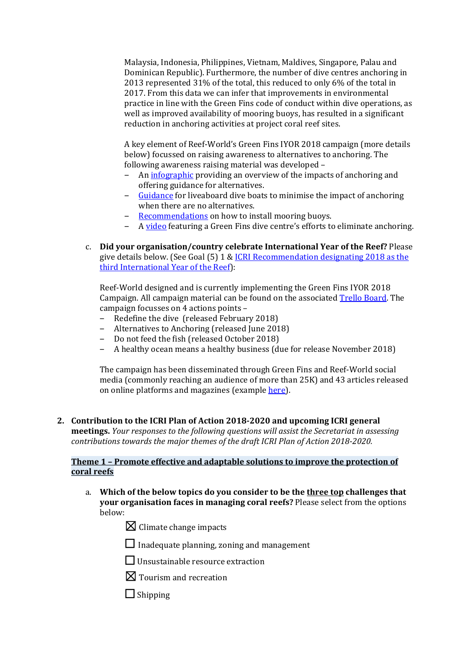Malaysia, Indonesia, Philippines, Vietnam, Maldives, Singapore, Palau and Dominican Republic). Furthermore, the number of dive centres anchoring in 2013 represented  $31\%$  of the total, this reduced to only 6% of the total in 2017. From this data we can infer that improvements in environmental practice in line with the Green Fins code of conduct within dive operations, as well as improved availability of mooring buoys, has resulted in a significant reduction in anchoring activities at project coral reef sites.

A key element of Reef-World's Green Fins IYOR 2018 campaign (more details below) focussed on raising awareness to alternatives to anchoring. The following awareness raising material was developed -

- An infographic providing an overview of the impacts of anchoring and offering guidance for alternatives.
- Guidance for liveaboard dive boats to minimise the impact of anchoring when there are no alternatives.
- Recommendations on how to install mooring buoys.
- A video featuring a Green Fins dive centre's efforts to eliminate anchoring.
- c. **Did your organisation/country celebrate International Year of the Reef?** Please give details below. (See Goal  $(5)$  1 & ICRI Recommendation designating 2018 as the third International Year of the Reef):

Reef-World designed and is currently implementing the Green Fins IYOR 2018 Campaign. All campaign material can be found on the associated Trello Board. The campaign focusses on 4 actions points -

- Redefine the dive (released February 2018)
- Alternatives to Anchoring (released June 2018)
- Do not feed the fish (released October 2018)
- A healthy ocean means a healthy business (due for release November 2018)

The campaign has been disseminated through Green Fins and Reef-World social media (commonly reaching an audience of more than 25K) and 43 articles released on online platforms and magazines (example here).

**2. Contribution to the ICRI Plan of Action 2018‐2020 and upcoming ICRI general meetings.** *Your responses to the following questions will assist the Secretariat in assessing contributions towards the major themes of the draft ICRI Plan of Action 2018‐2020.*

### **Theme 1 – Promote effective and adaptable solutions to improve the protection of coral reefs**

- a. **Which of the below topics do you consider to be the three top challenges that your organisation faces in managing coral reefs?** Please select from the options below:
	- $\boxtimes$  Climate change impacts
	- $\Box$  Inadequate planning, zoning and management
	- $\Box$  Unsustainable resource extraction
	- $\boxtimes$  Tourism and recreation
	- □ Shipping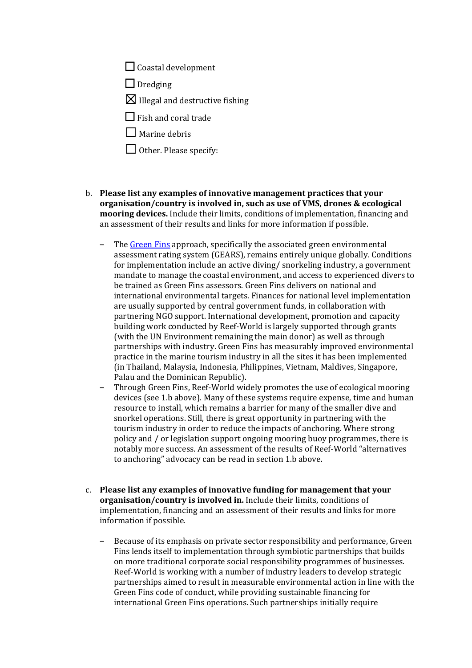$\Box$  Coastal development

□ Dredging

 $\boxtimes$  Illegal and destructive fishing

 $\Box$  Fish and coral trade

 $\Box$  Marine debris

- $\Box$  Other. Please specify:
- b. **Please list any examples of innovative management practices that your organisation/country is involved in, such as use of VMS, drones & ecological mooring devices.** Include their limits, conditions of implementation, financing and an assessment of their results and links for more information if possible.
	- The Green Fins approach, specifically the associated green environmental assessment rating system (GEARS), remains entirely unique globally. Conditions for implementation include an active diving/ snorkeling industry, a government mandate to manage the coastal environment, and access to experienced divers to be trained as Green Fins assessors. Green Fins delivers on national and international environmental targets. Finances for national level implementation are usually supported by central government funds, in collaboration with partnering NGO support. International development, promotion and capacity building work conducted by Reef-World is largely supported through grants (with the UN Environment remaining the main donor) as well as through partnerships with industry. Green Fins has measurably improved environmental practice in the marine tourism industry in all the sites it has been implemented (in Thailand, Malaysia, Indonesia, Philippines, Vietnam, Maldives, Singapore, Palau and the Dominican Republic).
	- Through Green Fins, Reef-World widely promotes the use of ecological mooring devices (see 1.b above). Many of these systems require expense, time and human resource to install, which remains a barrier for many of the smaller dive and snorkel operations. Still, there is great opportunity in partnering with the tourism industry in order to reduce the impacts of anchoring. Where strong policy and / or legislation support ongoing mooring buoy programmes, there is notably more success. An assessment of the results of Reef-World "alternatives" to anchoring" advocacy can be read in section 1.b above.
- c. **Please list any examples of innovative funding for management that your organisation/country is involved in.** Include their limits, conditions of implementation, financing and an assessment of their results and links for more information if possible.
	- Because of its emphasis on private sector responsibility and performance, Green Fins lends itself to implementation through symbiotic partnerships that builds on more traditional corporate social responsibility programmes of businesses. Reef-World is working with a number of industry leaders to develop strategic partnerships aimed to result in measurable environmental action in line with the Green Fins code of conduct, while providing sustainable financing for international Green Fins operations. Such partnerships initially require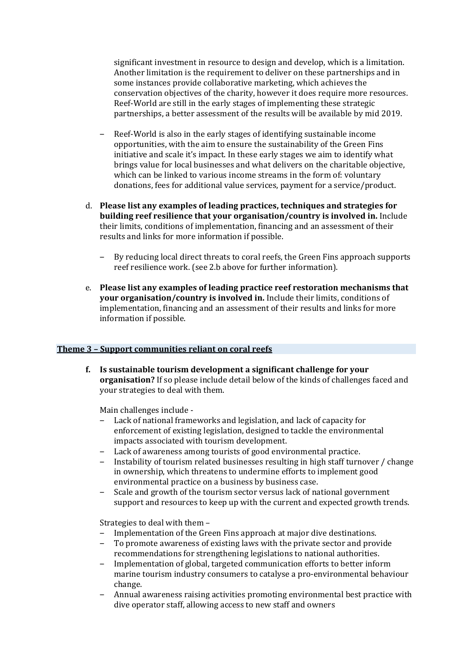significant investment in resource to design and develop, which is a limitation. Another limitation is the requirement to deliver on these partnerships and in some instances provide collaborative marketing, which achieves the conservation objectives of the charity, however it does require more resources. Reef-World are still in the early stages of implementing these strategic partnerships, a better assessment of the results will be available by mid 2019.

- Reef-World is also in the early stages of identifying sustainable income opportunities, with the aim to ensure the sustainability of the Green Fins initiative and scale it's impact. In these early stages we aim to identify what brings value for local businesses and what delivers on the charitable objective, which can be linked to various income streams in the form of: voluntary donations, fees for additional value services, payment for a service/product.
- d. **Please list any examples of leading practices, techniques and strategies for building reef resilience that your organisation/country is involved in.** Include their limits, conditions of implementation, financing and an assessment of their results and links for more information if possible.
	- By reducing local direct threats to coral reefs, the Green Fins approach supports reef resilience work. (see 2.b above for further information).
- e. **Please list any examples of leading practice reef restoration mechanisms that your organisation/country is involved in.** Include their limits, conditions of implementation, financing and an assessment of their results and links for more information if possible.

#### **Theme 3 – Support communities reliant on coral reefs**

**f. Is sustainable tourism development a significant challenge for your organisation?** If so please include detail below of the kinds of challenges faced and your strategies to deal with them.

Main challenges include -

- Lack of national frameworks and legislation, and lack of capacity for enforcement of existing legislation, designed to tackle the environmental impacts associated with tourism development.
- Lack of awareness among tourists of good environmental practice.
- Instability of tourism related businesses resulting in high staff turnover / change in ownership, which threatens to undermine efforts to implement good environmental practice on a business by business case.
- Scale and growth of the tourism sector versus lack of national government support and resources to keep up with the current and expected growth trends.

Strategies to deal with them  $-$ 

- Implementation of the Green Fins approach at major dive destinations.
- To promote awareness of existing laws with the private sector and provide recommendations for strengthening legislations to national authorities.
- Implementation of global, targeted communication efforts to better inform marine tourism industry consumers to catalyse a pro-environmental behaviour change.
- Annual awareness raising activities promoting environmental best practice with dive operator staff, allowing access to new staff and owners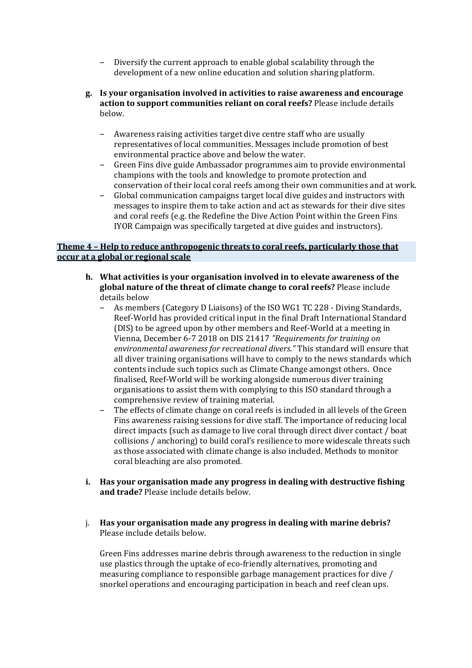- Diversify the current approach to enable global scalability through the development of a new online education and solution sharing platform.
- **g. Is your organisation involved in activities to raise awareness and encourage action** to support communities reliant on coral reefs? Please include details below.
	- Awareness raising activities target dive centre staff who are usually representatives of local communities. Messages include promotion of best environmental practice above and below the water.
	- Green Fins dive guide Ambassador programmes aim to provide environmental champions with the tools and knowledge to promote protection and conservation of their local coral reefs among their own communities and at work.
	- Global communication campaigns target local dive guides and instructors with messages to inspire them to take action and act as stewards for their dive sites and coral reefs (e.g. the Redefine the Dive Action Point within the Green Fins IYOR Campaign was specifically targeted at dive guides and instructors).

### **Theme 4 – Help to reduce anthropogenic threats to coral reefs, particularly those that occur at a global or regional scale**

- **h. What activities is your organisation involved in to elevate awareness of the global nature of the threat of climate change to coral reefs?** Please include details below
	- As members (Category D Liaisons) of the ISO WG1 TC 228 Diving Standards, Reef-World has provided critical input in the final Draft International Standard (DIS) to be agreed upon by other members and Reef-World at a meeting in Vienna, December 6‐7 2018 on DIS 21417 *"Requirements for training on environmental awareness for recreational divers."* This standard will ensure that all diver training organisations will have to comply to the news standards which contents include such topics such as Climate Change amongst others. Once finalised, Reef-World will be working alongside numerous diver training organisations to assist them with complying to this ISO standard through a comprehensive review of training material.
	- The effects of climate change on coral reefs is included in all levels of the Green Fins awareness raising sessions for dive staff. The importance of reducing local direct impacts (such as damage to live coral through direct diver contact / boat collisions / anchoring) to build coral's resilience to more widescale threats such as those associated with climate change is also included. Methods to monitor coral bleaching are also promoted.
- **i. Has your organisation made any progress in dealing with destructive fishing** and **trade?** Please include details below.
- j. **Has your organisation made any progress in dealing with marine debris?** Please include details below.

Green Fins addresses marine debris through awareness to the reduction in single use plastics through the uptake of eco-friendly alternatives, promoting and measuring compliance to responsible garbage management practices for dive / snorkel operations and encouraging participation in beach and reef clean ups.